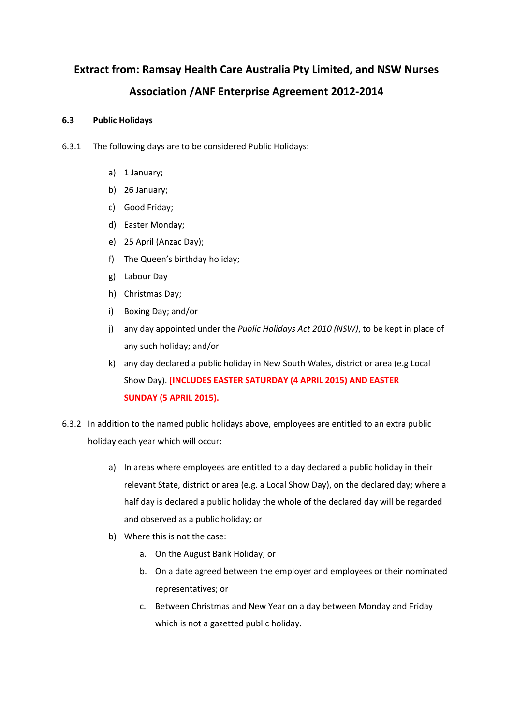# **Extract from: Ramsay Health Care Australia Pty Limited, and NSW Nurses Association /ANF Enterprise Agreement 2012‐2014**

## **6.3 Public Holidays**

- 6.3.1 The following days are to be considered Public Holidays:
	- a) 1 January;
	- b) 26 January;
	- c) Good Friday;
	- d) Easter Monday;
	- e) 25 April (Anzac Day);
	- f) The Queen's birthday holiday;
	- g) Labour Day
	- h) Christmas Day;
	- i) Boxing Day; and/or
	- j) any day appointed under the *Public Holidays Act 2010 (NSW)*, to be kept in place of any such holiday; and/or
	- k) any day declared a public holiday in New South Wales, district or area (e.g Local Show Day). **[INCLUDES EASTER SATURDAY (4 APRIL 2015) AND EASTER SUNDAY (5 APRIL 2015).**
- 6.3.2 In addition to the named public holidays above, employees are entitled to an extra public holiday each year which will occur:
	- a) In areas where employees are entitled to a day declared a public holiday in their relevant State, district or area (e.g. a Local Show Day), on the declared day; where a half day is declared a public holiday the whole of the declared day will be regarded and observed as a public holiday; or
	- b) Where this is not the case:
		- a. On the August Bank Holiday; or
		- b. On a date agreed between the employer and employees or their nominated representatives; or
		- c. Between Christmas and New Year on a day between Monday and Friday which is not a gazetted public holiday.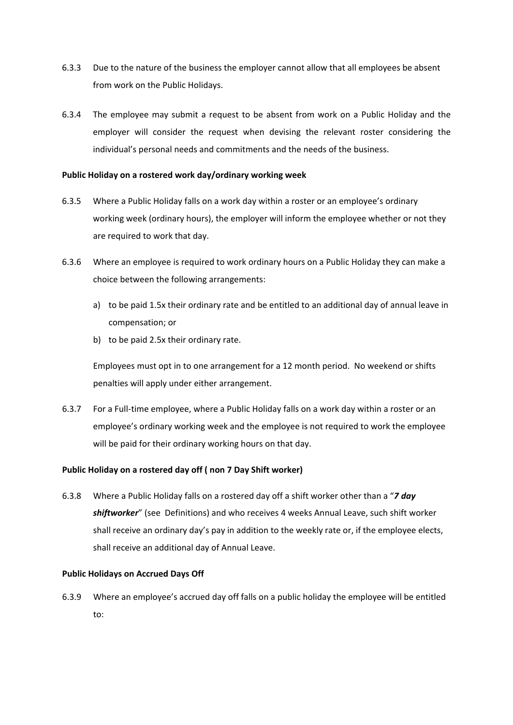- 6.3.3 Due to the nature of the business the employer cannot allow that all employees be absent from work on the Public Holidays.
- 6.3.4 The employee may submit a request to be absent from work on a Public Holiday and the employer will consider the request when devising the relevant roster considering the individual's personal needs and commitments and the needs of the business.

#### **Public Holiday on a rostered work day/ordinary working week**

- 6.3.5 Where a Public Holiday falls on a work day within a roster or an employee's ordinary working week (ordinary hours), the employer will inform the employee whether or not they are required to work that day.
- 6.3.6 Where an employee is required to work ordinary hours on a Public Holiday they can make a choice between the following arrangements:
	- a) to be paid 1.5x their ordinary rate and be entitled to an additional day of annual leave in compensation; or
	- b) to be paid 2.5x their ordinary rate.

 Employees must opt in to one arrangement for a 12 month period. No weekend or shifts penalties will apply under either arrangement.

6.3.7 For a Full‐time employee, where a Public Holiday falls on a work day within a roster or an employee's ordinary working week and the employee is not required to work the employee will be paid for their ordinary working hours on that day.

### **Public Holiday on a rostered day off ( non 7 Day Shift worker)**

6.3.8 Where a Public Holiday falls on a rostered day off a shift worker other than a "*7 day shiftworker*" (see Definitions) and who receives 4 weeks Annual Leave, such shift worker shall receive an ordinary day's pay in addition to the weekly rate or, if the employee elects, shall receive an additional day of Annual Leave.

#### **Public Holidays on Accrued Days Off**

6.3.9 Where an employee's accrued day off falls on a public holiday the employee will be entitled to: